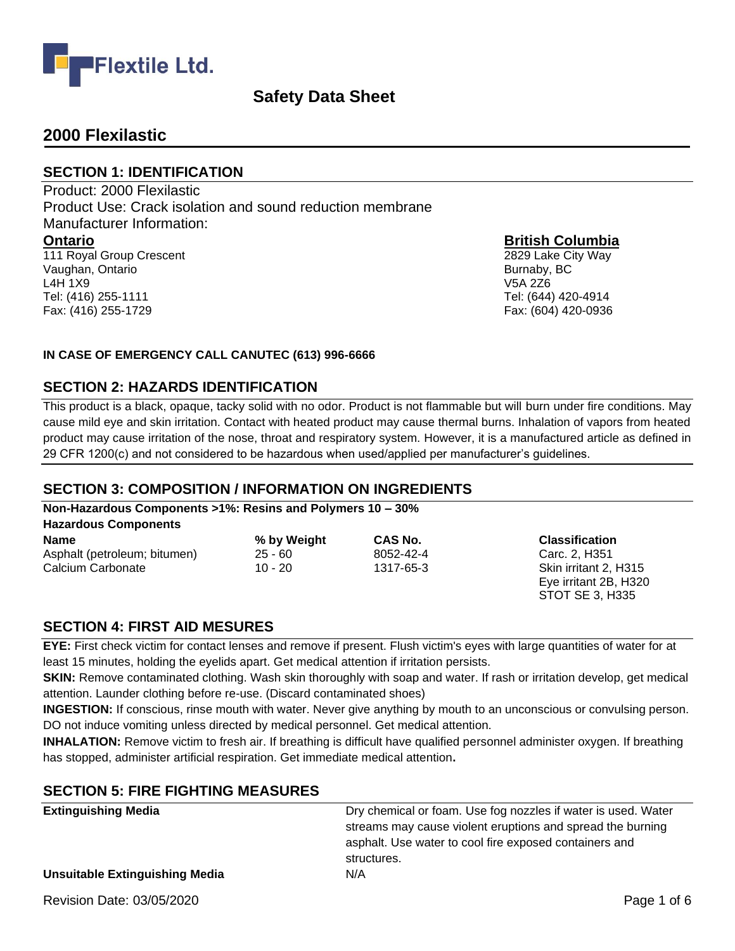

## **2000 Flexilastic**

Fax: (416) 255-1729

#### **SECTION 1: IDENTIFICATION**

Product: 2000 Flexilastic Product Use: Crack isolation and sound reduction membrane Manufacturer Information: **Ontario** 111 Royal Group Crescent Vaughan, Ontario L4H 1X9 Tel: (416) 255-1111

**British Columbia**

2829 Lake City Way Burnaby, BC V5A 2Z6 Tel: (644) 420-4914 Fax: (604) 420-0936

#### **IN CASE OF EMERGENCY CALL CANUTEC (613) 996-6666**

#### **SECTION 2: HAZARDS IDENTIFICATION**

This product is a black, opaque, tacky solid with no odor. Product is not flammable but will burn under fire conditions. May cause mild eye and skin irritation. Contact with heated product may cause thermal burns. Inhalation of vapors from heated product may cause irritation of the nose, throat and respiratory system. However, it is a manufactured article as defined in 29 CFR 1200(c) and not considered to be hazardous when used/applied per manufacturer's guidelines.

### **SECTION 3: COMPOSITION / INFORMATION ON INGREDIENTS**

#### **Non-Hazardous Components >1%: Resins and Polymers 10 – 30%**

**Hazardous Components**

| Name                         | % by Weight | <b>CAS N</b> |
|------------------------------|-------------|--------------|
| Asphalt (petroleum; bitumen) | $25 - 60$   | 8052-4       |
| Calcium Carbonate            | $10 - 20$   | 1317-6       |

#### **b Classification**

Asphalt (petroleum; bitumen) 25 - 60 8052-42-4 Carc. 2, H351 External Carbonate 10 - 20 14 - 20 14 - 20 15 Eye irritant 2B, H320 STOT SE 3, H335

### **SECTION 4: FIRST AID MESURES**

**EYE:** First check victim for contact lenses and remove if present. Flush victim's eyes with large quantities of water for at least 15 minutes, holding the eyelids apart. Get medical attention if irritation persists.

**SKIN:** Remove contaminated clothing. Wash skin thoroughly with soap and water. If rash or irritation develop, get medical attention. Launder clothing before re-use. (Discard contaminated shoes)

**INGESTION:** If conscious, rinse mouth with water. Never give anything by mouth to an unconscious or convulsing person. DO not induce vomiting unless directed by medical personnel. Get medical attention.

**INHALATION:** Remove victim to fresh air. If breathing is difficult have qualified personnel administer oxygen. If breathing has stopped, administer artificial respiration. Get immediate medical attention**.**

### **SECTION 5: FIRE FIGHTING MEASURES**

| <b>Extinguishing Media</b>            | Dry chemical or foam. Use fog nozzles if water is used. Water |
|---------------------------------------|---------------------------------------------------------------|
|                                       | streams may cause violent eruptions and spread the burning    |
|                                       | asphalt. Use water to cool fire exposed containers and        |
|                                       | structures.                                                   |
| <b>Unsuitable Extinguishing Media</b> | N/A                                                           |
|                                       |                                                               |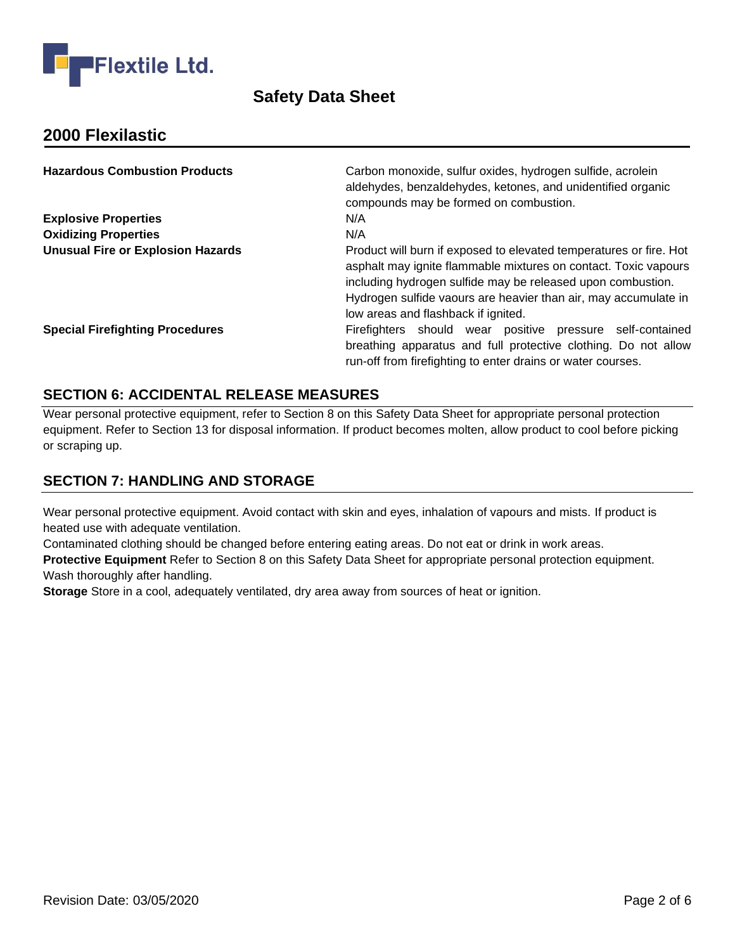

## **2000 Flexilastic**

| <b>Hazardous Combustion Products</b>     | Carbon monoxide, sulfur oxides, hydrogen sulfide, acrolein<br>aldehydes, benzaldehydes, ketones, and unidentified organic<br>compounds may be formed on combustion.                                                                                                                                            |
|------------------------------------------|----------------------------------------------------------------------------------------------------------------------------------------------------------------------------------------------------------------------------------------------------------------------------------------------------------------|
| <b>Explosive Properties</b>              | N/A                                                                                                                                                                                                                                                                                                            |
| <b>Oxidizing Properties</b>              | N/A                                                                                                                                                                                                                                                                                                            |
| <b>Unusual Fire or Explosion Hazards</b> | Product will burn if exposed to elevated temperatures or fire. Hot<br>asphalt may ignite flammable mixtures on contact. Toxic vapours<br>including hydrogen sulfide may be released upon combustion.<br>Hydrogen sulfide vaours are heavier than air, may accumulate in<br>low areas and flashback if ignited. |
| <b>Special Firefighting Procedures</b>   | Firefighters should wear positive pressure self-contained<br>breathing apparatus and full protective clothing. Do not allow<br>run-off from firefighting to enter drains or water courses.                                                                                                                     |

### **SECTION 6: ACCIDENTAL RELEASE MEASURES**

Wear personal protective equipment, refer to Section 8 on this Safety Data Sheet for appropriate personal protection equipment. Refer to Section 13 for disposal information. If product becomes molten, allow product to cool before picking or scraping up.

### **SECTION 7: HANDLING AND STORAGE**

Wear personal protective equipment. Avoid contact with skin and eyes, inhalation of vapours and mists. If product is heated use with adequate ventilation.

Contaminated clothing should be changed before entering eating areas. Do not eat or drink in work areas.

**Protective Equipment** Refer to Section 8 on this Safety Data Sheet for appropriate personal protection equipment. Wash thoroughly after handling.

**Storage** Store in a cool, adequately ventilated, dry area away from sources of heat or ignition.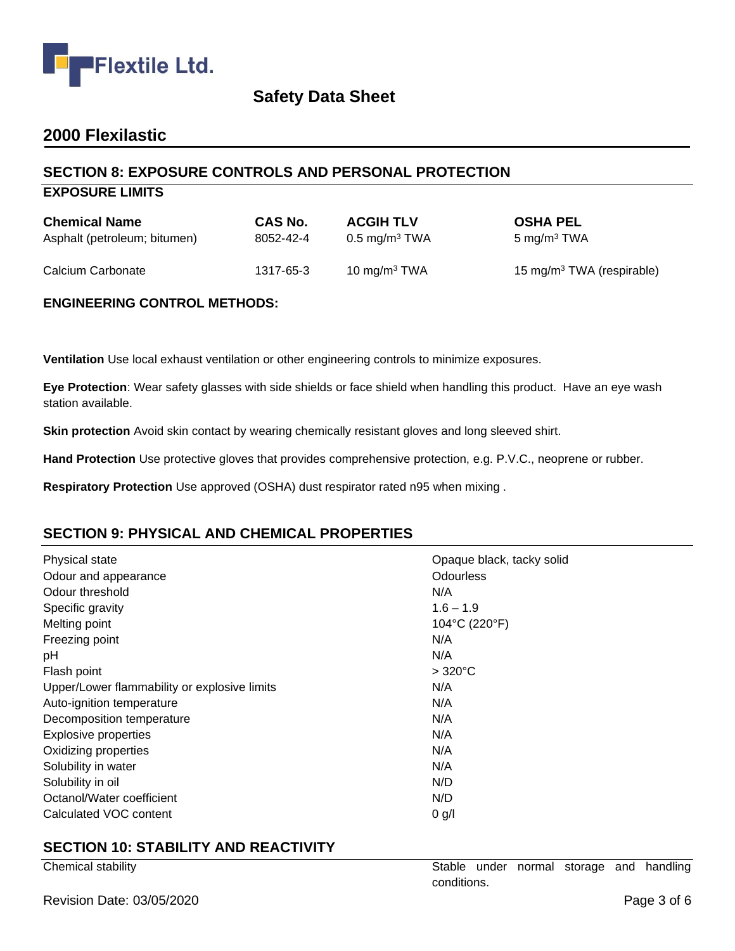

## **2000 Flexilastic**

### **SECTION 8: EXPOSURE CONTROLS AND PERSONAL PROTECTION**

#### **EXPOSURE LIMITS**

| <b>Chemical Name</b>         | CAS No.   | <b>ACGIH TLV</b>         | <b>OSHA PEL</b>                       |
|------------------------------|-----------|--------------------------|---------------------------------------|
| Asphalt (petroleum; bitumen) | 8052-42-4 | $0.5 \text{ mg/m}^3$ TWA | $5 \text{ mg/m}^3$ TWA                |
| Calcium Carbonate            | 1317-65-3 | 10 mg/m $3$ TWA          | 15 mg/m <sup>3</sup> TWA (respirable) |

#### **ENGINEERING CONTROL METHODS:**

**Ventilation** Use local exhaust ventilation or other engineering controls to minimize exposures.

**Eye Protection**: Wear safety glasses with side shields or face shield when handling this product. Have an eye wash station available.

**Skin protection** Avoid skin contact by wearing chemically resistant gloves and long sleeved shirt.

**Hand Protection** Use protective gloves that provides comprehensive protection, e.g. P.V.C., neoprene or rubber.

**Respiratory Protection** Use approved (OSHA) dust respirator rated n95 when mixing .

### **SECTION 9: PHYSICAL AND CHEMICAL PROPERTIES**

| Physical state                               | Opaque black, tacky solid |
|----------------------------------------------|---------------------------|
| Odour and appearance                         | <b>Odourless</b>          |
| Odour threshold                              | N/A                       |
| Specific gravity                             | $1.6 - 1.9$               |
| Melting point                                | 104°C (220°F)             |
| Freezing point                               | N/A                       |
| рH                                           | N/A                       |
| Flash point                                  | $>320^{\circ}$ C          |
| Upper/Lower flammability or explosive limits | N/A                       |
| Auto-ignition temperature                    | N/A                       |
| Decomposition temperature                    | N/A                       |
| <b>Explosive properties</b>                  | N/A                       |
| Oxidizing properties                         | N/A                       |
| Solubility in water                          | N/A                       |
| Solubility in oil                            | N/D                       |
| Octanol/Water coefficient                    | N/D                       |
| Calculated VOC content                       | 0 g/l                     |

### **SECTION 10: STABILITY AND REACTIVITY**

| Chemical stability        | Stable      |  |  | under normal storage and handling |
|---------------------------|-------------|--|--|-----------------------------------|
|                           | conditions. |  |  |                                   |
| Revision Date: 03/05/2020 |             |  |  | Page 3 of 6                       |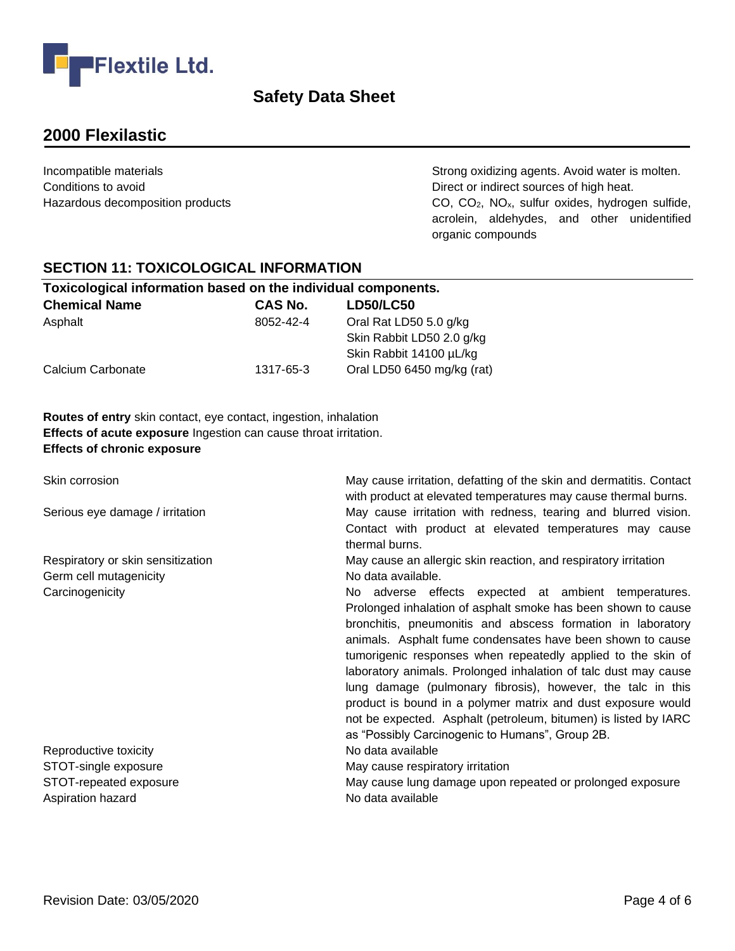

# **2000 Flexilastic**

Incompatible materials **Strong oxidizing agents**. Avoid water is molten. Conditions to avoid Conditions to avoid Conditions to avoid Hazardous decomposition products extending the CO, CO<sub>2</sub>, NO<sub>x</sub>, sulfur oxides, hydrogen sulfide, acrolein, aldehydes, and other unidentified organic compounds

#### **SECTION 11: TOXICOLOGICAL INFORMATION**

| Toxicological information based on the individual components. |                |                            |  |  |
|---------------------------------------------------------------|----------------|----------------------------|--|--|
| <b>Chemical Name</b>                                          | <b>CAS No.</b> | <b>LD50/LC50</b>           |  |  |
| Asphalt                                                       | 8052-42-4      | Oral Rat LD50 5.0 g/kg     |  |  |
|                                                               |                | Skin Rabbit LD50 2.0 g/kg  |  |  |
|                                                               |                | Skin Rabbit 14100 µL/kg    |  |  |
| Calcium Carbonate                                             | 1317-65-3      | Oral LD50 6450 mg/kg (rat) |  |  |

**Routes of entry** skin contact, eye contact, ingestion, inhalation **Effects of acute exposure** Ingestion can cause throat irritation. **Effects of chronic exposure** 

| Skin corrosion                              | May cause irritation, defatting of the skin and dermatitis. Contact<br>with product at elevated temperatures may cause thermal burns.                                                                                                                                                                                                                                                                                                                                                                                                                                                                                                      |
|---------------------------------------------|--------------------------------------------------------------------------------------------------------------------------------------------------------------------------------------------------------------------------------------------------------------------------------------------------------------------------------------------------------------------------------------------------------------------------------------------------------------------------------------------------------------------------------------------------------------------------------------------------------------------------------------------|
| Serious eye damage / irritation             | May cause irritation with redness, tearing and blurred vision.<br>Contact with product at elevated temperatures may cause<br>thermal burns.                                                                                                                                                                                                                                                                                                                                                                                                                                                                                                |
| Respiratory or skin sensitization           | May cause an allergic skin reaction, and respiratory irritation                                                                                                                                                                                                                                                                                                                                                                                                                                                                                                                                                                            |
| Germ cell mutagenicity                      | No data available.                                                                                                                                                                                                                                                                                                                                                                                                                                                                                                                                                                                                                         |
| Carcinogenicity                             | No adverse effects expected at ambient temperatures.<br>Prolonged inhalation of asphalt smoke has been shown to cause<br>bronchitis, pneumonitis and abscess formation in laboratory<br>animals. Asphalt fume condensates have been shown to cause<br>tumorigenic responses when repeatedly applied to the skin of<br>laboratory animals. Prolonged inhalation of talc dust may cause<br>lung damage (pulmonary fibrosis), however, the talc in this<br>product is bound in a polymer matrix and dust exposure would<br>not be expected. Asphalt (petroleum, bitumen) is listed by IARC<br>as "Possibly Carcinogenic to Humans", Group 2B. |
| Reproductive toxicity                       | No data available                                                                                                                                                                                                                                                                                                                                                                                                                                                                                                                                                                                                                          |
| STOT-single exposure                        | May cause respiratory irritation                                                                                                                                                                                                                                                                                                                                                                                                                                                                                                                                                                                                           |
| STOT-repeated exposure<br>Aspiration hazard | May cause lung damage upon repeated or prolonged exposure<br>No data available                                                                                                                                                                                                                                                                                                                                                                                                                                                                                                                                                             |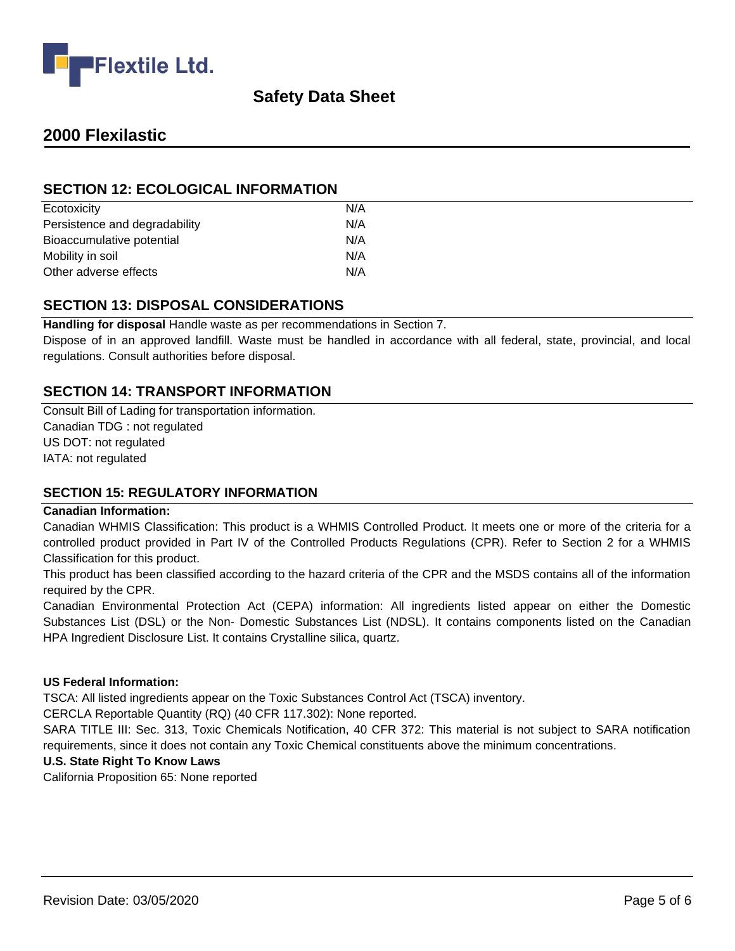

# **2000 Flexilastic**

#### **SECTION 12: ECOLOGICAL INFORMATION**

| Ecotoxicity                   | N/A |  |
|-------------------------------|-----|--|
| Persistence and degradability | N/A |  |
| Bioaccumulative potential     | N/A |  |
| Mobility in soil              | N/A |  |
| Other adverse effects         | N/A |  |
|                               |     |  |

#### **SECTION 13: DISPOSAL CONSIDERATIONS**

**Handling for disposal** Handle waste as per recommendations in Section 7.

Dispose of in an approved landfill. Waste must be handled in accordance with all federal, state, provincial, and local regulations. Consult authorities before disposal.

#### **SECTION 14: TRANSPORT INFORMATION**

Consult Bill of Lading for transportation information. Canadian TDG : not regulated US DOT: not regulated IATA: not regulated

#### **SECTION 15: REGULATORY INFORMATION**

#### **Canadian Information:**

Canadian WHMIS Classification: This product is a WHMIS Controlled Product. It meets one or more of the criteria for a controlled product provided in Part IV of the Controlled Products Regulations (CPR). Refer to Section 2 for a WHMIS Classification for this product.

This product has been classified according to the hazard criteria of the CPR and the MSDS contains all of the information required by the CPR.

Canadian Environmental Protection Act (CEPA) information: All ingredients listed appear on either the Domestic Substances List (DSL) or the Non- Domestic Substances List (NDSL). It contains components listed on the Canadian HPA Ingredient Disclosure List. It contains Crystalline silica, quartz.

#### **US Federal Information:**

TSCA: All listed ingredients appear on the Toxic Substances Control Act (TSCA) inventory.

CERCLA Reportable Quantity (RQ) (40 CFR 117.302): None reported.

SARA TITLE III: Sec. 313, Toxic Chemicals Notification, 40 CFR 372: This material is not subject to SARA notification requirements, since it does not contain any Toxic Chemical constituents above the minimum concentrations.

#### **U.S. State Right To Know Laws**

California Proposition 65: None reported